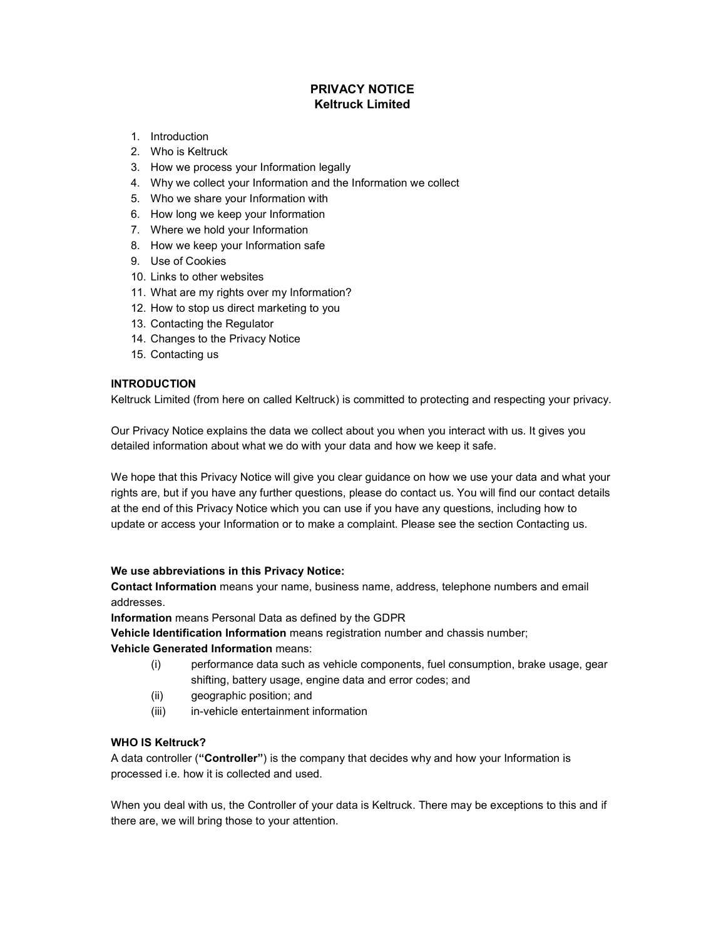# PRIVACY NOTICE Keltruck Limited

- 1. Introduction
- 2. Who is Keltruck
- 3. How we process your Information legally
- 4. Why we collect your Information and the Information we collect
- 5. Who we share your Information with
- 6. How long we keep your Information
- 7. Where we hold your Information
- 8. How we keep your Information safe
- 9. Use of Cookies
- 10. Links to other websites
- 11. What are my rights over my Information?
- 12. How to stop us direct marketing to you
- 13. Contacting the Regulator
- 14. Changes to the Privacy Notice
- 15. Contacting us

## INTRODUCTION

Keltruck Limited (from here on called Keltruck) is committed to protecting and respecting your privacy.

Our Privacy Notice explains the data we collect about you when you interact with us. It gives you detailed information about what we do with your data and how we keep it safe.

We hope that this Privacy Notice will give you clear guidance on how we use your data and what your rights are, but if you have any further questions, please do contact us. You will find our contact details at the end of this Privacy Notice which you can use if you have any questions, including how to update or access your Information or to make a complaint. Please see the section Contacting us.

## We use abbreviations in this Privacy Notice:

Contact Information means your name, business name, address, telephone numbers and email addresses.

Information means Personal Data as defined by the GDPR

Vehicle Identification Information means registration number and chassis number;

## Vehicle Generated Information means:

- (i) performance data such as vehicle components, fuel consumption, brake usage, gear shifting, battery usage, engine data and error codes; and
- (ii) geographic position; and
- (iii) in-vehicle entertainment information

## WHO IS Keltruck?

A data controller ("Controller") is the company that decides why and how your Information is processed i.e. how it is collected and used.

When you deal with us, the Controller of your data is Keltruck. There may be exceptions to this and if there are, we will bring those to your attention.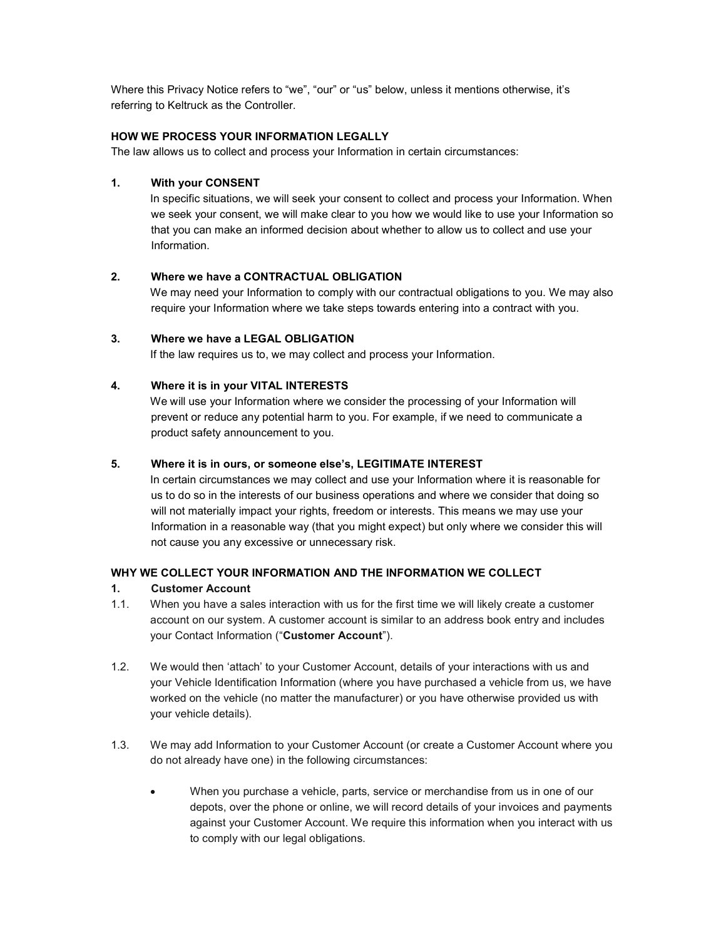Where this Privacy Notice refers to "we", "our" or "us" below, unless it mentions otherwise, it's referring to Keltruck as the Controller.

## HOW WE PROCESS YOUR INFORMATION LEGALLY

The law allows us to collect and process your Information in certain circumstances:

#### 1. With your CONSENT

In specific situations, we will seek your consent to collect and process your Information. When we seek your consent, we will make clear to you how we would like to use your Information so that you can make an informed decision about whether to allow us to collect and use your Information.

#### 2. Where we have a CONTRACTUAL OBLIGATION

We may need your Information to comply with our contractual obligations to you. We may also require your Information where we take steps towards entering into a contract with you.

# 3. Where we have a LEGAL OBLIGATION

If the law requires us to, we may collect and process your Information.

### 4. Where it is in your VITAL INTERESTS

We will use your Information where we consider the processing of your Information will prevent or reduce any potential harm to you. For example, if we need to communicate a product safety announcement to you.

#### 5. Where it is in ours, or someone else's, LEGITIMATE INTEREST

In certain circumstances we may collect and use your Information where it is reasonable for us to do so in the interests of our business operations and where we consider that doing so will not materially impact your rights, freedom or interests. This means we may use your Information in a reasonable way (that you might expect) but only where we consider this will not cause you any excessive or unnecessary risk.

#### WHY WE COLLECT YOUR INFORMATION AND THE INFORMATION WE COLLECT

## 1. Customer Account

- 1.1. When you have a sales interaction with us for the first time we will likely create a customer account on our system. A customer account is similar to an address book entry and includes your Contact Information ("Customer Account").
- 1.2. We would then 'attach' to your Customer Account, details of your interactions with us and your Vehicle Identification Information (where you have purchased a vehicle from us, we have worked on the vehicle (no matter the manufacturer) or you have otherwise provided us with your vehicle details).
- 1.3. We may add Information to your Customer Account (or create a Customer Account where you do not already have one) in the following circumstances:
	- When you purchase a vehicle, parts, service or merchandise from us in one of our depots, over the phone or online, we will record details of your invoices and payments against your Customer Account. We require this information when you interact with us to comply with our legal obligations.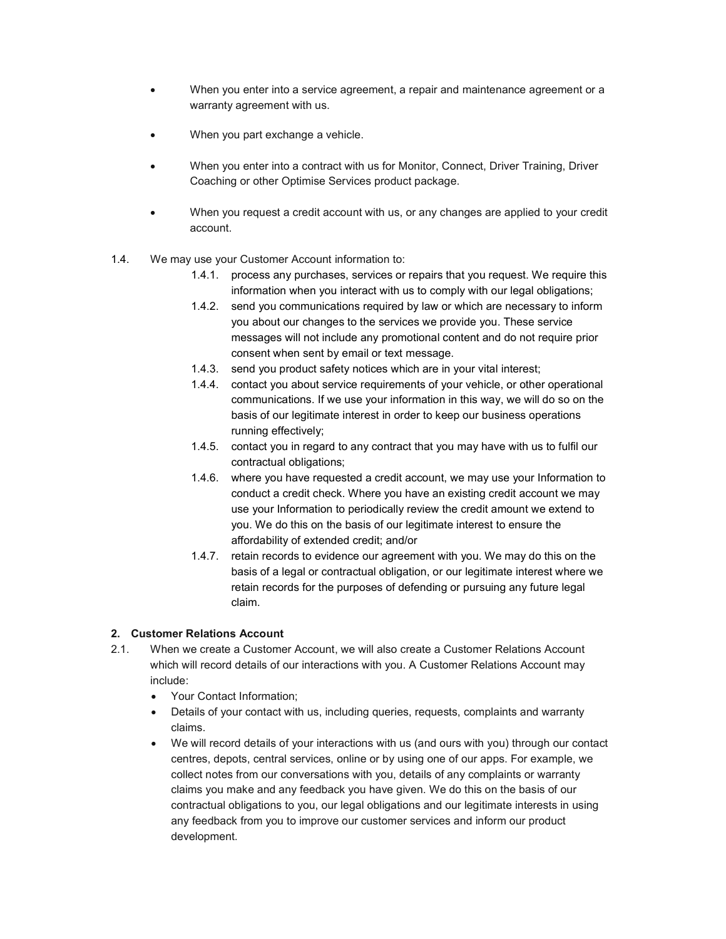- When you enter into a service agreement, a repair and maintenance agreement or a warranty agreement with us.
- When you part exchange a vehicle.
- When you enter into a contract with us for Monitor, Connect, Driver Training, Driver Coaching or other Optimise Services product package.
- When you request a credit account with us, or any changes are applied to your credit account.
- 1.4. We may use your Customer Account information to:
	- 1.4.1. process any purchases, services or repairs that you request. We require this information when you interact with us to comply with our legal obligations;
	- 1.4.2. send you communications required by law or which are necessary to inform you about our changes to the services we provide you. These service messages will not include any promotional content and do not require prior consent when sent by email or text message.
	- 1.4.3. send you product safety notices which are in your vital interest;
	- 1.4.4. contact you about service requirements of your vehicle, or other operational communications. If we use your information in this way, we will do so on the basis of our legitimate interest in order to keep our business operations running effectively;
	- 1.4.5. contact you in regard to any contract that you may have with us to fulfil our contractual obligations;
	- 1.4.6. where you have requested a credit account, we may use your Information to conduct a credit check. Where you have an existing credit account we may use your Information to periodically review the credit amount we extend to you. We do this on the basis of our legitimate interest to ensure the affordability of extended credit; and/or
	- 1.4.7. retain records to evidence our agreement with you. We may do this on the basis of a legal or contractual obligation, or our legitimate interest where we retain records for the purposes of defending or pursuing any future legal claim.

# 2. Customer Relations Account

- 2.1. When we create a Customer Account, we will also create a Customer Relations Account which will record details of our interactions with you. A Customer Relations Account may include:
	- Your Contact Information:
	- Details of your contact with us, including queries, requests, complaints and warranty claims.
	- We will record details of your interactions with us (and ours with you) through our contact centres, depots, central services, online or by using one of our apps. For example, we collect notes from our conversations with you, details of any complaints or warranty claims you make and any feedback you have given. We do this on the basis of our contractual obligations to you, our legal obligations and our legitimate interests in using any feedback from you to improve our customer services and inform our product development.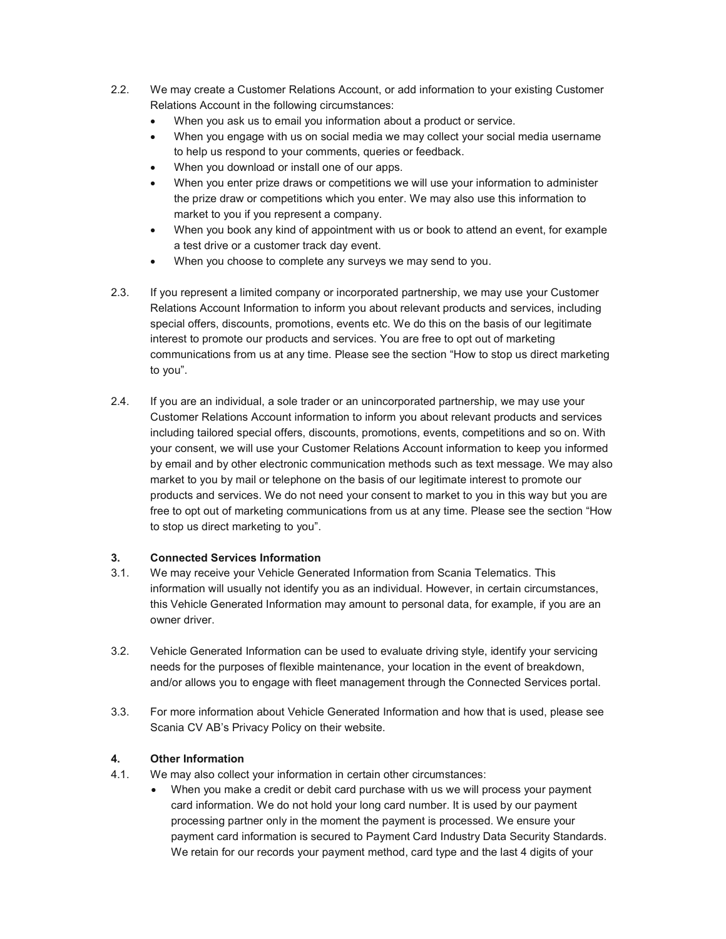- 2.2. We may create a Customer Relations Account, or add information to your existing Customer Relations Account in the following circumstances:
	- When you ask us to email you information about a product or service.
	- When you engage with us on social media we may collect your social media username to help us respond to your comments, queries or feedback.
	- When you download or install one of our apps.
	- When you enter prize draws or competitions we will use your information to administer the prize draw or competitions which you enter. We may also use this information to market to you if you represent a company.
	- When you book any kind of appointment with us or book to attend an event, for example a test drive or a customer track day event.
	- When you choose to complete any surveys we may send to you.
- 2.3. If you represent a limited company or incorporated partnership, we may use your Customer Relations Account Information to inform you about relevant products and services, including special offers, discounts, promotions, events etc. We do this on the basis of our legitimate interest to promote our products and services. You are free to opt out of marketing communications from us at any time. Please see the section "How to stop us direct marketing to you".
- 2.4. If you are an individual, a sole trader or an unincorporated partnership, we may use your Customer Relations Account information to inform you about relevant products and services including tailored special offers, discounts, promotions, events, competitions and so on. With your consent, we will use your Customer Relations Account information to keep you informed by email and by other electronic communication methods such as text message. We may also market to you by mail or telephone on the basis of our legitimate interest to promote our products and services. We do not need your consent to market to you in this way but you are free to opt out of marketing communications from us at any time. Please see the section "How to stop us direct marketing to you".

## 3. Connected Services Information

- 3.1. We may receive your Vehicle Generated Information from Scania Telematics. This information will usually not identify you as an individual. However, in certain circumstances, this Vehicle Generated Information may amount to personal data, for example, if you are an owner driver.
- 3.2. Vehicle Generated Information can be used to evaluate driving style, identify your servicing needs for the purposes of flexible maintenance, your location in the event of breakdown, and/or allows you to engage with fleet management through the Connected Services portal.
- 3.3. For more information about Vehicle Generated Information and how that is used, please see Scania CV AB's Privacy Policy on their website.

# 4. Other Information

- 4.1. We may also collect your information in certain other circumstances:
	- When you make a credit or debit card purchase with us we will process your payment card information. We do not hold your long card number. It is used by our payment processing partner only in the moment the payment is processed. We ensure your payment card information is secured to Payment Card Industry Data Security Standards. We retain for our records your payment method, card type and the last 4 digits of your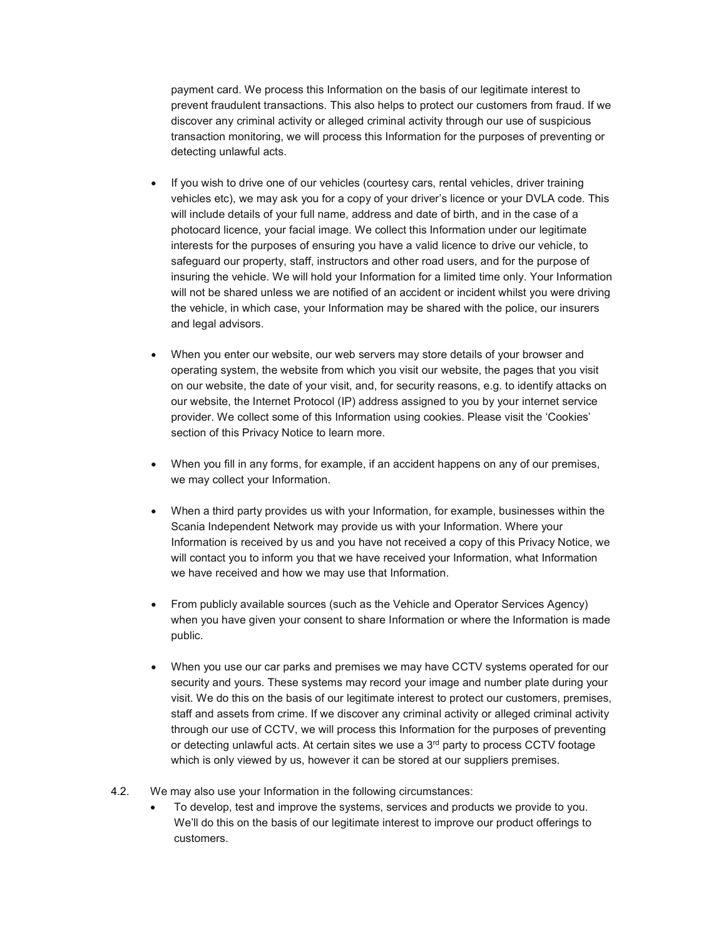payment card. We process this Information on the basis of our legitimate interest to prevent fraudulent transactions. This also helps to protect our customers from fraud. If we discover any criminal activity or alleged criminal activity through our use of suspicious transaction monitoring, we will process this Information for the purposes of preventing or detecting unlawful acts.

- If you wish to drive one of our vehicles (courtesy cars, rental vehicles, driver training vehicles etc), we may ask you for a copy of your driver's licence or your DVLA code. This will include details of your full name, address and date of birth, and in the case of a photocard licence, your facial image. We collect this Information under our legitimate interests for the purposes of ensuring you have a valid licence to drive our vehicle, to safeguard our property, staff, instructors and other road users, and for the purpose of insuring the vehicle. We will hold your Information for a limited time only. Your Information will not be shared unless we are notified of an accident or incident whilst you were driving the vehicle, in which case, your Information may be shared with the police, our insurers and legal advisors.
- When you enter our website, our web servers may store details of your browser and operating system, the website from which you visit our website, the pages that you visit on our website, the date of your visit, and, for security reasons, e.g. to identify attacks on our website, the Internet Protocol (IP) address assigned to you by your internet service provider. We collect some of this Information using cookies. Please visit the 'Cookies' section of this Privacy Notice to learn more.
- When you fill in any forms, for example, if an accident happens on any of our premises, we may collect your Information.
- When a third party provides us with your Information, for example, businesses within the Scania Independent Network may provide us with your Information. Where your Information is received by us and you have not received a copy of this Privacy Notice, we will contact you to inform you that we have received your Information, what Information we have received and how we may use that Information.
- From publicly available sources (such as the Vehicle and Operator Services Agency) when you have given your consent to share Information or where the Information is made public.
- When you use our car parks and premises we may have CCTV systems operated for our security and yours. These systems may record your image and number plate during your visit. We do this on the basis of our legitimate interest to protect our customers, premises, staff and assets from crime. If we discover any criminal activity or alleged criminal activity through our use of CCTV, we will process this Information for the purposes of preventing or detecting unlawful acts. At certain sites we use a  $3<sup>rd</sup>$  party to process CCTV footage which is only viewed by us, however it can be stored at our suppliers premises.
- 4.2. We may also use your Information in the following circumstances:
	- To develop, test and improve the systems, services and products we provide to you. We'll do this on the basis of our legitimate interest to improve our product offerings to customers.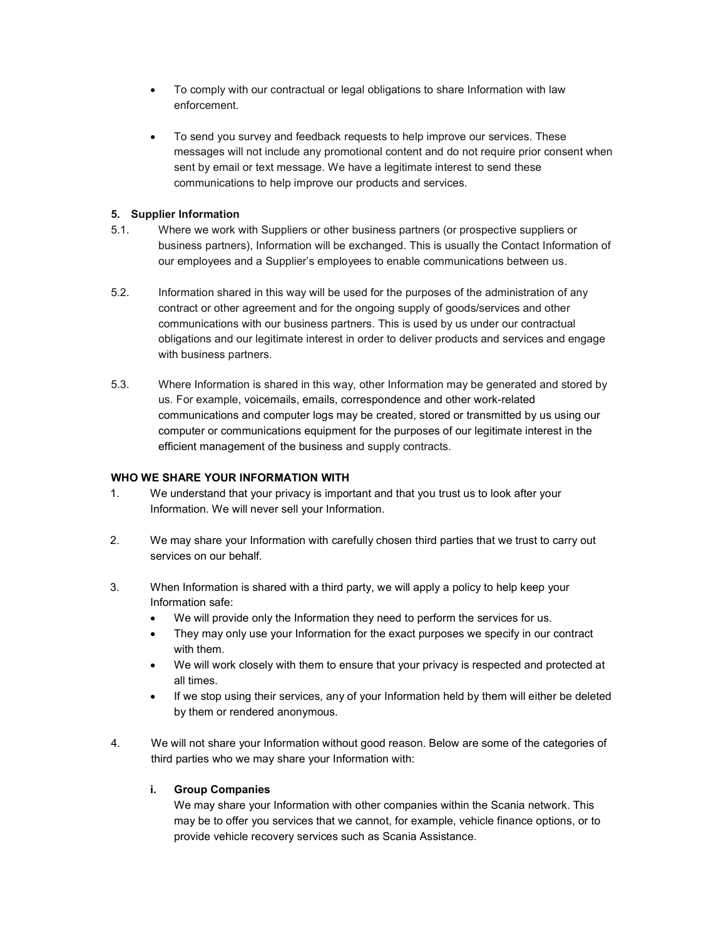- To comply with our contractual or legal obligations to share Information with law enforcement.
- To send you survey and feedback requests to help improve our services. These messages will not include any promotional content and do not require prior consent when sent by email or text message. We have a legitimate interest to send these communications to help improve our products and services.

## 5. Supplier Information

- 5.1. Where we work with Suppliers or other business partners (or prospective suppliers or business partners), Information will be exchanged. This is usually the Contact Information of our employees and a Supplier's employees to enable communications between us.
- 5.2. Information shared in this way will be used for the purposes of the administration of any contract or other agreement and for the ongoing supply of goods/services and other communications with our business partners. This is used by us under our contractual obligations and our legitimate interest in order to deliver products and services and engage with business partners.
- 5.3. Where Information is shared in this way, other Information may be generated and stored by us. For example, voicemails, emails, correspondence and other work-related communications and computer logs may be created, stored or transmitted by us using our computer or communications equipment for the purposes of our legitimate interest in the efficient management of the business and supply contracts.

## WHO WE SHARE YOUR INFORMATION WITH

- 1. We understand that your privacy is important and that you trust us to look after your Information. We will never sell your Information.
- 2. We may share your Information with carefully chosen third parties that we trust to carry out services on our behalf.
- 3. When Information is shared with a third party, we will apply a policy to help keep your Information safe:
	- We will provide only the Information they need to perform the services for us.
	- They may only use your Information for the exact purposes we specify in our contract with them.
	- We will work closely with them to ensure that your privacy is respected and protected at all times.
	- If we stop using their services, any of your Information held by them will either be deleted by them or rendered anonymous.
- 4. We will not share your Information without good reason. Below are some of the categories of third parties who we may share your Information with:

# i. Group Companies

 We may share your Information with other companies within the Scania network. This may be to offer you services that we cannot, for example, vehicle finance options, or to provide vehicle recovery services such as Scania Assistance.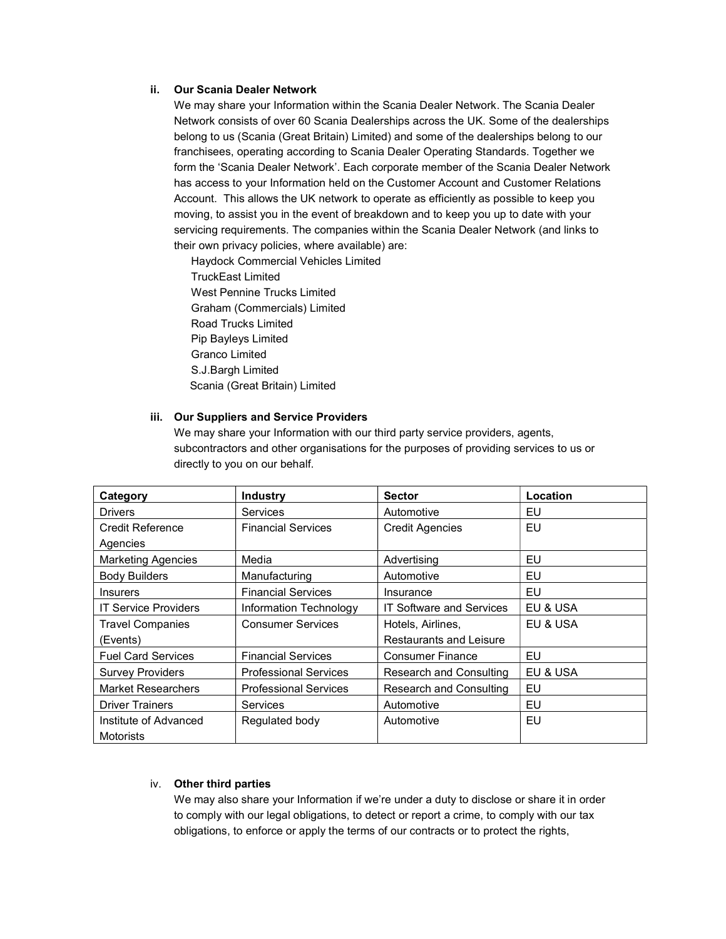#### ii. Our Scania Dealer Network

 We may share your Information within the Scania Dealer Network. The Scania Dealer Network consists of over 60 Scania Dealerships across the UK. Some of the dealerships belong to us (Scania (Great Britain) Limited) and some of the dealerships belong to our franchisees, operating according to Scania Dealer Operating Standards. Together we form the 'Scania Dealer Network'. Each corporate member of the Scania Dealer Network has access to your Information held on the Customer Account and Customer Relations Account. This allows the UK network to operate as efficiently as possible to keep you moving, to assist you in the event of breakdown and to keep you up to date with your servicing requirements. The companies within the Scania Dealer Network (and links to their own privacy policies, where available) are:

 Haydock Commercial Vehicles Limited TruckEast Limited West Pennine Trucks Limited Graham (Commercials) Limited Road Trucks Limited Pip Bayleys Limited Granco Limited S.J.Bargh Limited Scania (Great Britain) Limited

## iii. Our Suppliers and Service Providers

 We may share your Information with our third party service providers, agents, subcontractors and other organisations for the purposes of providing services to us or directly to you on our behalf.

| Category                    | <b>Industry</b>              | <b>Sector</b>                   | Location |
|-----------------------------|------------------------------|---------------------------------|----------|
| <b>Drivers</b>              | <b>Services</b>              | Automotive                      | EU       |
| Credit Reference            | <b>Financial Services</b>    | <b>Credit Agencies</b>          | EU       |
| Agencies                    |                              |                                 |          |
| <b>Marketing Agencies</b>   | Media                        | Advertising                     | EU       |
| <b>Body Builders</b>        | Manufacturing                | Automotive                      | EU       |
| <b>Insurers</b>             | <b>Financial Services</b>    | Insurance                       | EU       |
| <b>IT Service Providers</b> | Information Technology       | <b>IT Software and Services</b> | EU & USA |
| <b>Travel Companies</b>     | <b>Consumer Services</b>     | Hotels, Airlines,               | EU & USA |
| (Events)                    |                              | <b>Restaurants and Leisure</b>  |          |
| <b>Fuel Card Services</b>   | <b>Financial Services</b>    | <b>Consumer Finance</b>         | EU       |
| <b>Survey Providers</b>     | <b>Professional Services</b> | Research and Consulting         | EU & USA |
| <b>Market Researchers</b>   | <b>Professional Services</b> | Research and Consulting         | EU       |
| <b>Driver Trainers</b>      | Services                     | Automotive                      | EU       |
| Institute of Advanced       | Regulated body               | Automotive                      | EU       |
| Motorists                   |                              |                                 |          |

## iv. Other third parties

We may also share your Information if we're under a duty to disclose or share it in order to comply with our legal obligations, to detect or report a crime, to comply with our tax obligations, to enforce or apply the terms of our contracts or to protect the rights,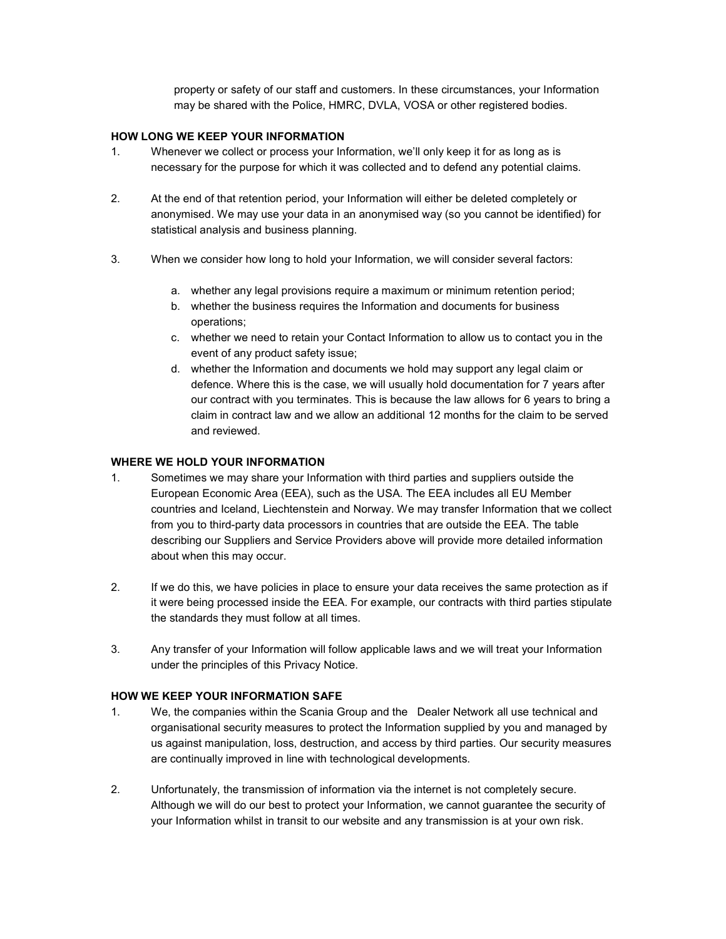property or safety of our staff and customers. In these circumstances, your Information may be shared with the Police, HMRC, DVLA, VOSA or other registered bodies.

## HOW LONG WE KEEP YOUR INFORMATION

- 1. Whenever we collect or process your Information, we'll only keep it for as long as is necessary for the purpose for which it was collected and to defend any potential claims.
- 2. At the end of that retention period, your Information will either be deleted completely or anonymised. We may use your data in an anonymised way (so you cannot be identified) for statistical analysis and business planning.
- 3. When we consider how long to hold your Information, we will consider several factors:
	- a. whether any legal provisions require a maximum or minimum retention period;
	- b. whether the business requires the Information and documents for business operations;
	- c. whether we need to retain your Contact Information to allow us to contact you in the event of any product safety issue;
	- d. whether the Information and documents we hold may support any legal claim or defence. Where this is the case, we will usually hold documentation for 7 years after our contract with you terminates. This is because the law allows for 6 years to bring a claim in contract law and we allow an additional 12 months for the claim to be served and reviewed.

#### WHERE WE HOLD YOUR INFORMATION

- 1. Sometimes we may share your Information with third parties and suppliers outside the European Economic Area (EEA), such as the USA. The EEA includes all EU Member countries and Iceland, Liechtenstein and Norway. We may transfer Information that we collect from you to third-party data processors in countries that are outside the EEA. The table describing our Suppliers and Service Providers above will provide more detailed information about when this may occur.
- 2. If we do this, we have policies in place to ensure your data receives the same protection as if it were being processed inside the EEA. For example, our contracts with third parties stipulate the standards they must follow at all times.
- 3. Any transfer of your Information will follow applicable laws and we will treat your Information under the principles of this Privacy Notice.

#### HOW WE KEEP YOUR INFORMATION SAFE

- 1. We, the companies within the Scania Group and the Dealer Network all use technical and organisational security measures to protect the Information supplied by you and managed by us against manipulation, loss, destruction, and access by third parties. Our security measures are continually improved in line with technological developments.
- 2. Unfortunately, the transmission of information via the internet is not completely secure. Although we will do our best to protect your Information, we cannot guarantee the security of your Information whilst in transit to our website and any transmission is at your own risk.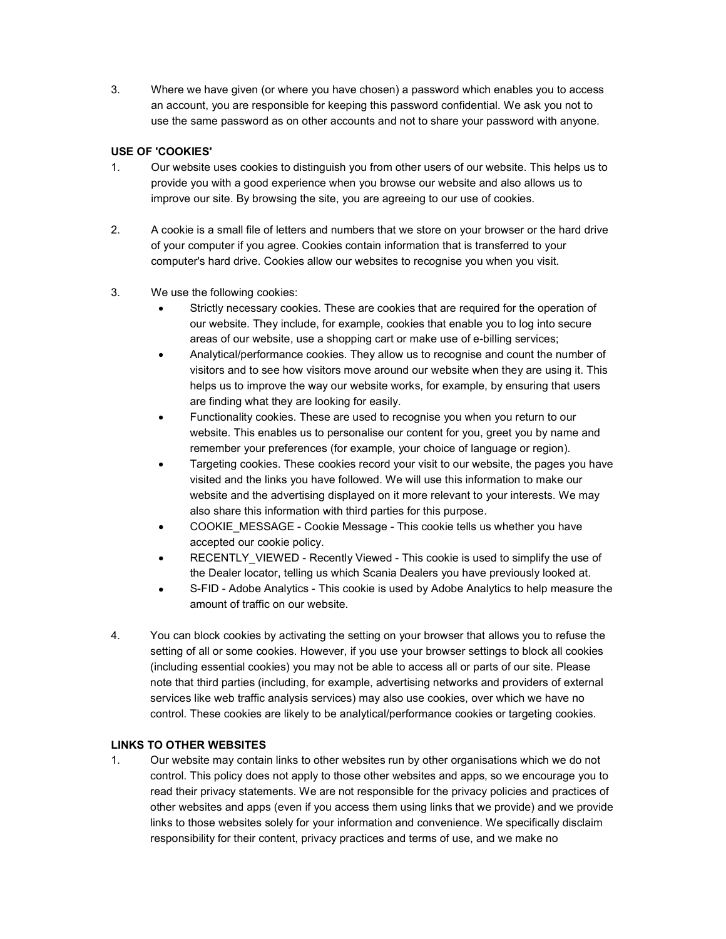3. Where we have given (or where you have chosen) a password which enables you to access an account, you are responsible for keeping this password confidential. We ask you not to use the same password as on other accounts and not to share your password with anyone.

## USE OF 'COOKIES'

- 1. Our website uses cookies to distinguish you from other users of our website. This helps us to provide you with a good experience when you browse our website and also allows us to improve our site. By browsing the site, you are agreeing to our use of cookies.
- 2. A cookie is a small file of letters and numbers that we store on your browser or the hard drive of your computer if you agree. Cookies contain information that is transferred to your computer's hard drive. Cookies allow our websites to recognise you when you visit.
- 3. We use the following cookies:
	- Strictly necessary cookies. These are cookies that are required for the operation of our website. They include, for example, cookies that enable you to log into secure areas of our website, use a shopping cart or make use of e-billing services;
	- Analytical/performance cookies. They allow us to recognise and count the number of visitors and to see how visitors move around our website when they are using it. This helps us to improve the way our website works, for example, by ensuring that users are finding what they are looking for easily.
	- Functionality cookies. These are used to recognise you when you return to our website. This enables us to personalise our content for you, greet you by name and remember your preferences (for example, your choice of language or region).
	- Targeting cookies. These cookies record your visit to our website, the pages you have visited and the links you have followed. We will use this information to make our website and the advertising displayed on it more relevant to your interests. We may also share this information with third parties for this purpose.
	- COOKIE\_MESSAGE Cookie Message This cookie tells us whether you have accepted our cookie policy.
	- RECENTLY\_VIEWED Recently Viewed This cookie is used to simplify the use of the Dealer locator, telling us which Scania Dealers you have previously looked at.
	- S-FID Adobe Analytics This cookie is used by Adobe Analytics to help measure the amount of traffic on our website.
- 4. You can block cookies by activating the setting on your browser that allows you to refuse the setting of all or some cookies. However, if you use your browser settings to block all cookies (including essential cookies) you may not be able to access all or parts of our site. Please note that third parties (including, for example, advertising networks and providers of external services like web traffic analysis services) may also use cookies, over which we have no control. These cookies are likely to be analytical/performance cookies or targeting cookies.

# LINKS TO OTHER WEBSITES

1. Our website may contain links to other websites run by other organisations which we do not control. This policy does not apply to those other websites and apps, so we encourage you to read their privacy statements. We are not responsible for the privacy policies and practices of other websites and apps (even if you access them using links that we provide) and we provide links to those websites solely for your information and convenience. We specifically disclaim responsibility for their content, privacy practices and terms of use, and we make no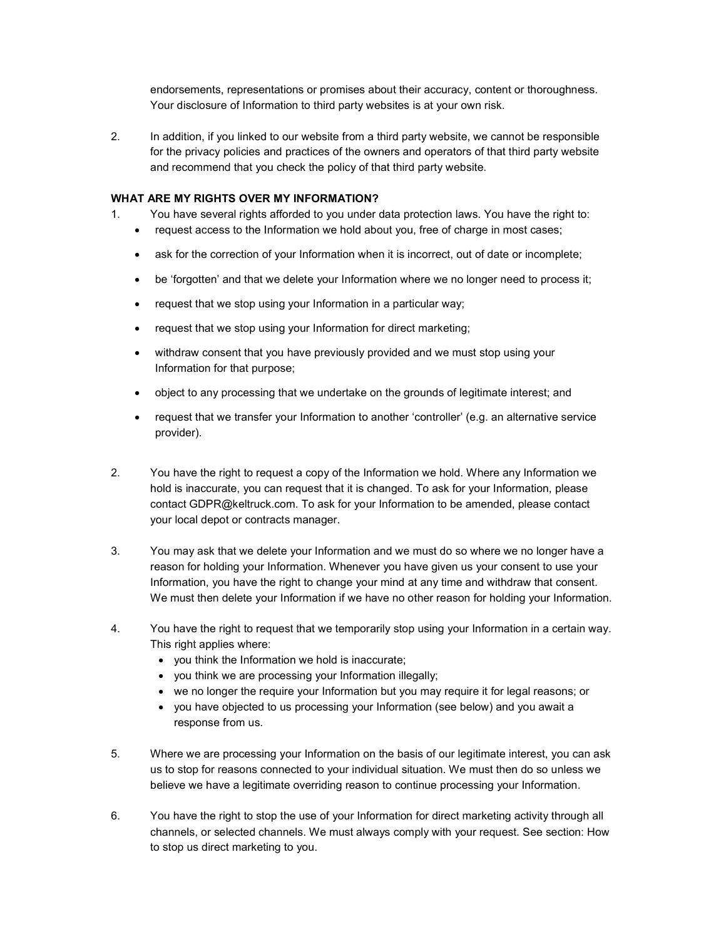endorsements, representations or promises about their accuracy, content or thoroughness. Your disclosure of Information to third party websites is at your own risk.

2. In addition, if you linked to our website from a third party website, we cannot be responsible for the privacy policies and practices of the owners and operators of that third party website and recommend that you check the policy of that third party website.

#### WHAT ARE MY RIGHTS OVER MY INFORMATION?

- 1. You have several rights afforded to you under data protection laws. You have the right to:
	- request access to the Information we hold about you, free of charge in most cases;
	- ask for the correction of your Information when it is incorrect, out of date or incomplete;
	- be 'forgotten' and that we delete your Information where we no longer need to process it;
	- request that we stop using your Information in a particular way;
	- request that we stop using your Information for direct marketing;
	- withdraw consent that you have previously provided and we must stop using your Information for that purpose;
	- object to any processing that we undertake on the grounds of legitimate interest; and
	- request that we transfer your Information to another 'controller' (e.g. an alternative service provider).
- 2. You have the right to request a copy of the Information we hold. Where any Information we hold is inaccurate, you can request that it is changed. To ask for your Information, please contact GDPR@keltruck.com. To ask for your Information to be amended, please contact your local depot or contracts manager.
- 3. You may ask that we delete your Information and we must do so where we no longer have a reason for holding your Information. Whenever you have given us your consent to use your Information, you have the right to change your mind at any time and withdraw that consent. We must then delete your Information if we have no other reason for holding your Information.
- 4. You have the right to request that we temporarily stop using your Information in a certain way. This right applies where:
	- you think the Information we hold is inaccurate;
	- you think we are processing your Information illegally;
	- we no longer the require your Information but you may require it for legal reasons; or
	- you have objected to us processing your Information (see below) and you await a response from us.
- 5. Where we are processing your Information on the basis of our legitimate interest, you can ask us to stop for reasons connected to your individual situation. We must then do so unless we believe we have a legitimate overriding reason to continue processing your Information.
- 6. You have the right to stop the use of your Information for direct marketing activity through all channels, or selected channels. We must always comply with your request. See section: How to stop us direct marketing to you.